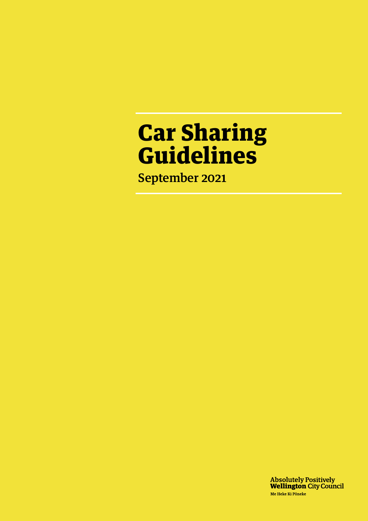# Car Sharing Guidelines

September 2021

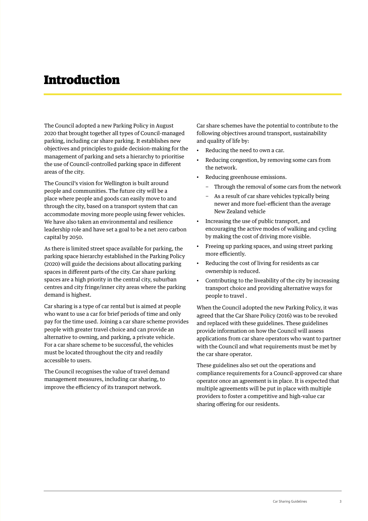#### Introduction

The Council adopted a new Parking Policy in August 2020 that brought together all types of Council-managed parking, including car share parking. It establishes new objectives and principles to guide decision-making for the management of parking and sets a hierarchy to prioritise the use of Council-controlled parking space in different areas of the city.

The Council's vision for Wellington is built around people and communities. The future city will be a place where people and goods can easily move to and through the city, based on a transport system that can accommodate moving more people using fewer vehicles. We have also taken an environmental and resilience leadership role and have set a goal to be a net zero carbon capital by 2050.

As there is limited street space available for parking, the parking space hierarchy established in the Parking Policy (2020) will guide the decisions about allocating parking spaces in different parts of the city. Car share parking spaces are a high priority in the central city, suburban centres and city fringe/inner city areas where the parking demand is highest.

Car sharing is a type of car rental but is aimed at people who want to use a car for brief periods of time and only pay for the time used. Joining a car share scheme provides people with greater travel choice and can provide an alternative to owning, and parking, a private vehicle. For a car share scheme to be successful, the vehicles must be located throughout the city and readily accessible to users.

The Council recognises the value of travel demand management measures, including car sharing, to improve the efficiency of its transport network.

Car share schemes have the potential to contribute to the following objectives around transport, sustainability and quality of life by:

- Reducing the need to own a car.
- Reducing congestion, by removing some cars from the network.
- Reducing greenhouse emissions.
	- Through the removal of some cars from the network
	- As a result of car share vehicles typically being newer and more fuel-efficient than the average New Zealand vehicle
- Increasing the use of public transport, and encouraging the active modes of walking and cycling by making the cost of driving more visible.
- Freeing up parking spaces, and using street parking more efficiently.
- Reducing the cost of living for residents as car ownership is reduced.
- Contributing to the liveability of the city by increasing transport choice and providing alternative ways for people to travel .

When the Council adopted the new Parking Policy, it was agreed that the Car Share Policy (2016) was to be revoked and replaced with these guidelines. These guidelines provide information on how the Council will assess applications from car share operators who want to partner with the Council and what requirements must be met by the car share operator.

These guidelines also set out the operations and compliance requirements for a Council-approved car share operator once an agreement is in place. It is expected that multiple agreements will be put in place with multiple providers to foster a competitive and high-value car sharing offering for our residents.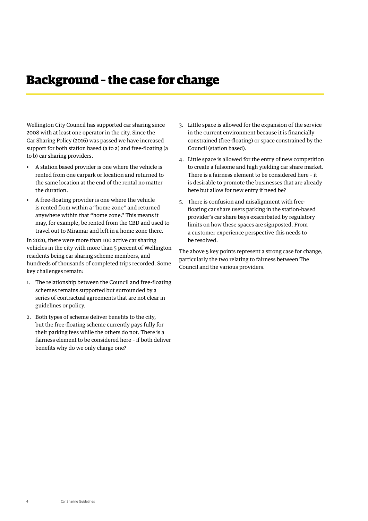### Background – the case for change

Wellington City Council has supported car sharing since 2008 with at least one operator in the city. Since the Car Sharing Policy (2016) was passed we have increased support for both station based (a to a) and free-floating (a to b) car sharing providers.

- A station based provider is one where the vehicle is rented from one carpark or location and returned to the same location at the end of the rental no matter the duration.
- A free-floating provider is one where the vehicle is rented from within a "home zone" and returned anywhere within that "home zone." This means it may, for example, be rented from the CBD and used to travel out to Miramar and left in a home zone there.

In 2020, there were more than 100 active car sharing vehicles in the city with more than 5 percent of Wellington residents being car sharing scheme members, and hundreds of thousands of completed trips recorded. Some key challenges remain:

- 1. The relationship between the Council and free-floating schemes remains supported but surrounded by a series of contractual agreements that are not clear in guidelines or policy.
- 2. Both types of scheme deliver benefits to the city, but the free-floating scheme currently pays fully for their parking fees while the others do not. There is a fairness element to be considered here – if both deliver benefits why do we only charge one?
- 3. Little space is allowed for the expansion of the service in the current environment because it is financially constrained (free-floating) or space constrained by the Council (station based).
- 4. Little space is allowed for the entry of new competition to create a fulsome and high yielding car share market. There is a fairness element to be considered here – it is desirable to promote the businesses that are already here but allow for new entry if need be?
- 5. There is confusion and misalignment with freefloating car share users parking in the station-based provider's car share bays exacerbated by regulatory limits on how these spaces are signposted. From a customer experience perspective this needs to be resolved.

The above 5 key points represent a strong case for change, particularly the two relating to fairness between The Council and the various providers.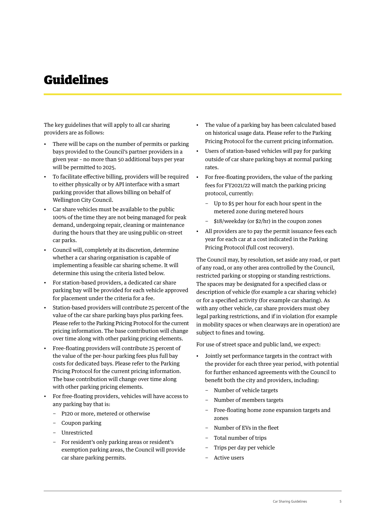### Guidelines

The key guidelines that will apply to all car sharing providers are as follows:

- There will be caps on the number of permits or parking bays provided to the Council's partner providers in a given year – no more than 50 additional bays per year will be permitted to 2025.
- To facilitate effective billing, providers will be required to either physically or by API interface with a smart parking provider that allows billing on behalf of Wellington City Council.
- Car share vehicles must be available to the public 100% of the time they are not being managed for peak demand, undergoing repair, cleaning or maintenance during the hours that they are using public on-street car parks.
- Council will, completely at its discretion, determine whether a car sharing organisation is capable of implementing a feasible car sharing scheme. It will determine this using the criteria listed below.
- For station-based providers, a dedicated car share parking bay will be provided for each vehicle approved for placement under the criteria for a fee.
- Station-based providers will contribute 25 percent of the value of the car share parking bays plus parking fees. Please refer to the Parking Pricing Protocol for the current pricing information. The base contribution will change over time along with other parking pricing elements.
- Free-floating providers will contribute 25 percent of the value of the per-hour parking fees plus full bay costs for dedicated bays. Please refer to the Parking Pricing Protocol for the current pricing information. The base contribution will change over time along with other parking pricing elements.
- For free-floating providers, vehicles will have access to any parking bay that is:
	- − P120 or more, metered or otherwise
	- − Coupon parking
	- − Unrestricted
	- For resident's only parking areas or resident's exemption parking areas, the Council will provide car share parking permits.
- The value of a parking bay has been calculated based on historical usage data. Please refer to the Parking Pricing Protocol for the current pricing information.
- Users of station-based vehicles will pay for parking outside of car share parking bays at normal parking rates.
- For free-floating providers, the value of the parking fees for FY2021/22 will match the parking pricing protocol, currently:
	- Up to \$5 per hour for each hour spent in the metered zone during metered hours
	- − \$18/weekday (or \$2/hr) in the coupon zones
- All providers are to pay the permit issuance fees each year for each car at a cost indicated in the Parking Pricing Protocol (full cost recovery).

The Council may, by resolution, set aside any road, or part of any road, or any other area controlled by the Council, restricted parking or stopping or standing restrictions. The spaces may be designated for a specified class or description of vehicle (for example a car sharing vehicle) or for a specified activity (for example car sharing). As with any other vehicle, car share providers must obey legal parking restrictions, and if in violation (for example in mobility spaces or when clearways are in operation) are subject to fines and towing.

For use of street space and public land, we expect:

- Jointly set performance targets in the contract with the provider for each three year period, with potential for further enhanced agreements with the Council to benefit both the city and providers, including:
	- − Number of vehicle targets
	- Number of members targets
	- Free-floating home zone expansion targets and zones
	- − Number of EVs in the fleet
	- Total number of trips
	- Trips per day per vehicle
	- − Active users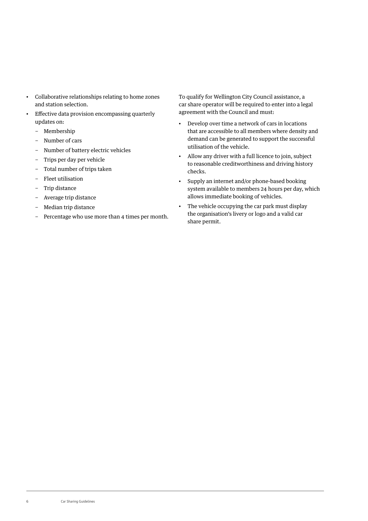- Collaborative relationships relating to home zones and station selection.
- Effective data provision encompassing quarterly updates on:
	- − Membership
	- − Number of cars
	- − Number of battery electric vehicles
	- − Trips per day per vehicle
	- − Total number of trips taken
	- − Fleet utilisation
	- − Trip distance
	- − Average trip distance
	- − Median trip distance
	- − Percentage who use more than 4 times per month.

To qualify for Wellington City Council assistance, a car share operator will be required to enter into a legal agreement with the Council and must:

- Develop over time a network of cars in locations that are accessible to all members where density and demand can be generated to support the successful utilisation of the vehicle.
- Allow any driver with a full licence to join, subject to reasonable creditworthiness and driving history checks.
- Supply an internet and/or phone-based booking system available to members 24 hours per day, which allows immediate booking of vehicles.
- The vehicle occupying the car park must display the organisation's livery or logo and a valid car share permit.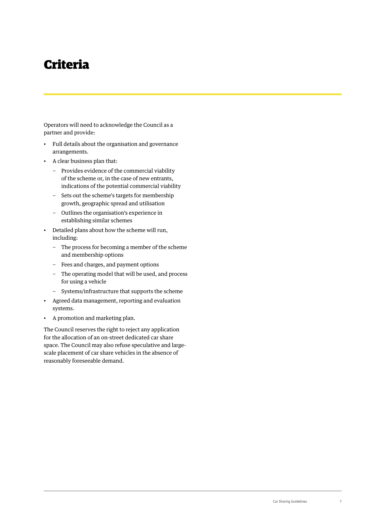## Criteria

Operators will need to acknowledge the Council as a partner and provide:

- Full details about the organisation and governance arrangements.
- A clear business plan that:
	- − Provides evidence of the commercial viability of the scheme or, in the case of new entrants, indications of the potential commercial viability
	- − Sets out the scheme's targets for membership growth, geographic spread and utilisation
	- − Outlines the organisation's experience in establishing similar schemes
- Detailed plans about how the scheme will run, including:
	- − The process for becoming a member of the scheme and membership options
	- − Fees and charges, and payment options
	- − The operating model that will be used, and process for using a vehicle
	- − Systems/infrastructure that supports the scheme
- Agreed data management, reporting and evaluation systems.
- A promotion and marketing plan.

The Council reserves the right to reject any application for the allocation of an on-street dedicated car share space. The Council may also refuse speculative and largescale placement of car share vehicles in the absence of reasonably foreseeable demand.